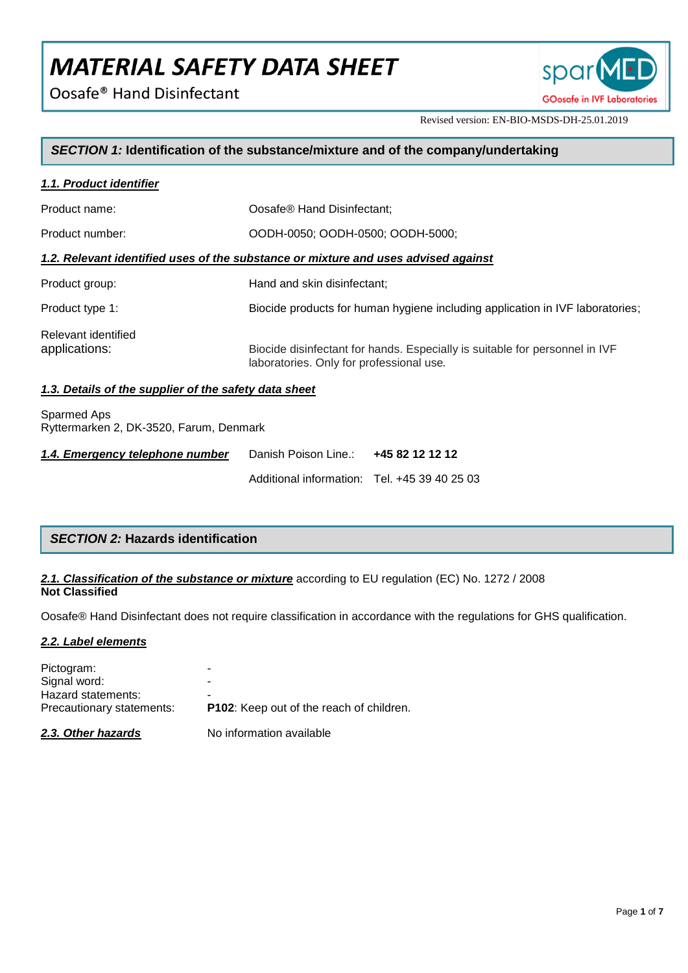Oosafe<sup>®</sup> Hand Disinfectant



Revised version: EN-BIO-MSDS-DH-25.01.2019

## *SECTION 1:* **Identification of the substance/mixture and of the company/undertaking**

| 1.1. Product identifier                               |                                                                                                                         |
|-------------------------------------------------------|-------------------------------------------------------------------------------------------------------------------------|
| Product name:                                         | Oosafe® Hand Disinfectant:                                                                                              |
| Product number:                                       | OODH-0050; OODH-0500; OODH-5000;                                                                                        |
|                                                       | 1.2. Relevant identified uses of the substance or mixture and uses advised against                                      |
| Product group:                                        | Hand and skin disinfectant;                                                                                             |
| Product type 1:                                       | Biocide products for human hygiene including application in IVF laboratories;                                           |
| Relevant identified<br>applications:                  | Biocide disinfectant for hands. Especially is suitable for personnel in IVF<br>laboratories. Only for professional use. |
| 1.3. Details of the supplier of the safety data sheet |                                                                                                                         |
| Contract App                                          |                                                                                                                         |

Sparmed Aps Ryttermarken 2, DK-3520, Farum, Denmark

| 1.4. Emergency telephone number | Danish Poison Line.: 445 82 12 12 12         |  |
|---------------------------------|----------------------------------------------|--|
|                                 | Additional information: Tel. +45 39 40 25 03 |  |

## *SECTION 2:* **Hazards identification**

## *2.1. Classification of the substance or mixture* according to EU regulation (EC) No. 1272 / 2008 **Not Classified**

Oosafe® Hand Disinfectant does not require classification in accordance with the regulations for GHS qualification.

## *2.2. Label elements*

| 2.3. Other hazards                              | No information available                             |
|-------------------------------------------------|------------------------------------------------------|
| Hazard statements:<br>Precautionary statements: | -<br><b>P102:</b> Keep out of the reach of children. |
| Signal word:                                    |                                                      |
| Pictogram:                                      |                                                      |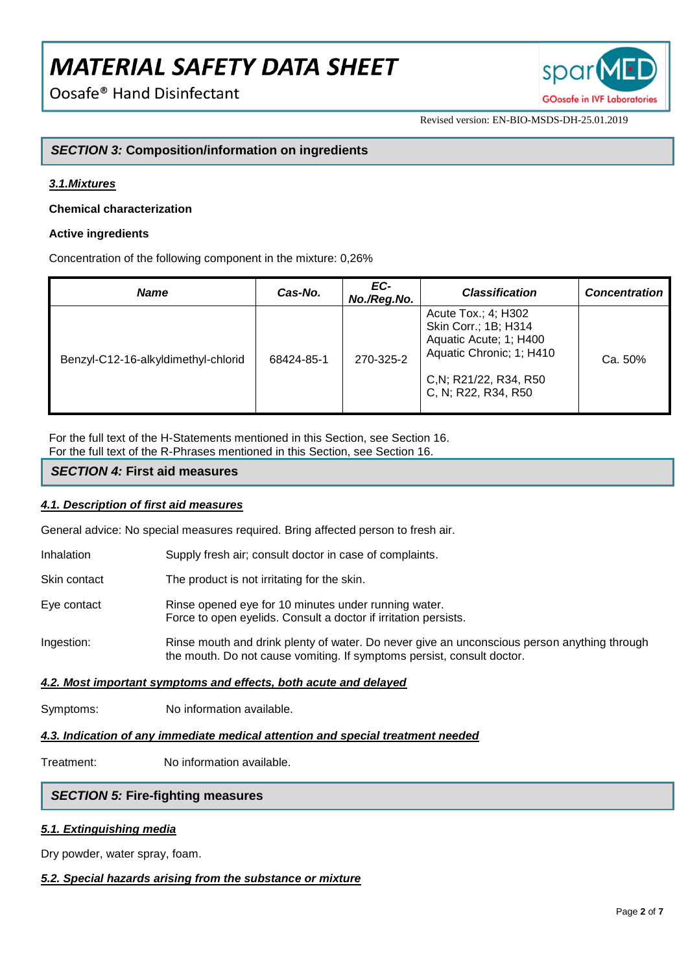Oosafe<sup>®</sup> Hand Disinfectant



Revised version: EN-BIO-MSDS-DH-25.01.2019

## *SECTION 3:* **Composition/information on ingredients**

## *3.1.Mixtures*

## **Chemical characterization**

## **Active ingredients**

Concentration of the following component in the mixture: 0,26%

| <b>Name</b>                         | Cas-No.    | EC-<br>No./Reg.No. | <b>Classification</b>                                                                                                                              | <b>Concentration</b> |
|-------------------------------------|------------|--------------------|----------------------------------------------------------------------------------------------------------------------------------------------------|----------------------|
| Benzyl-C12-16-alkyldimethyl-chlorid | 68424-85-1 | 270-325-2          | Acute Tox.; 4; H302<br>Skin Corr.; 1B; H314<br>Aquatic Acute; 1; H400<br>Aquatic Chronic; 1; H410<br>C, N; R21/22, R34, R50<br>C, N; R22, R34, R50 | Ca. 50%              |

For the full text of the H-Statements mentioned in this Section, see Section 16.

For the full text of the R-Phrases mentioned in this Section, see Section 16.

## *SECTION 4:* **First aid measures**

## *4.1. Description of first aid measures*

General advice: No special measures required. Bring affected person to fresh air.

- Inhalation Supply fresh air; consult doctor in case of complaints.
- Skin contact The product is not irritating for the skin.
- Eye contact Rinse opened eye for 10 minutes under running water. Force to open eyelids. Consult a doctor if irritation persists.
- Ingestion: Rinse mouth and drink plenty of water. Do never give an unconscious person anything through the mouth. Do not cause vomiting. If symptoms persist, consult doctor.

## *4.2. Most important symptoms and effects, both acute and delayed*

Symptoms: No information available.

## *4.3. Indication of any immediate medical attention and special treatment needed*

Treatment: No information available.

## *SECTION 5:* **Fire-fighting measures**

## *5.1. Extinguishing media*

Dry powder, water spray, foam.

## *5.2. Special hazards arising from the substance or mixture*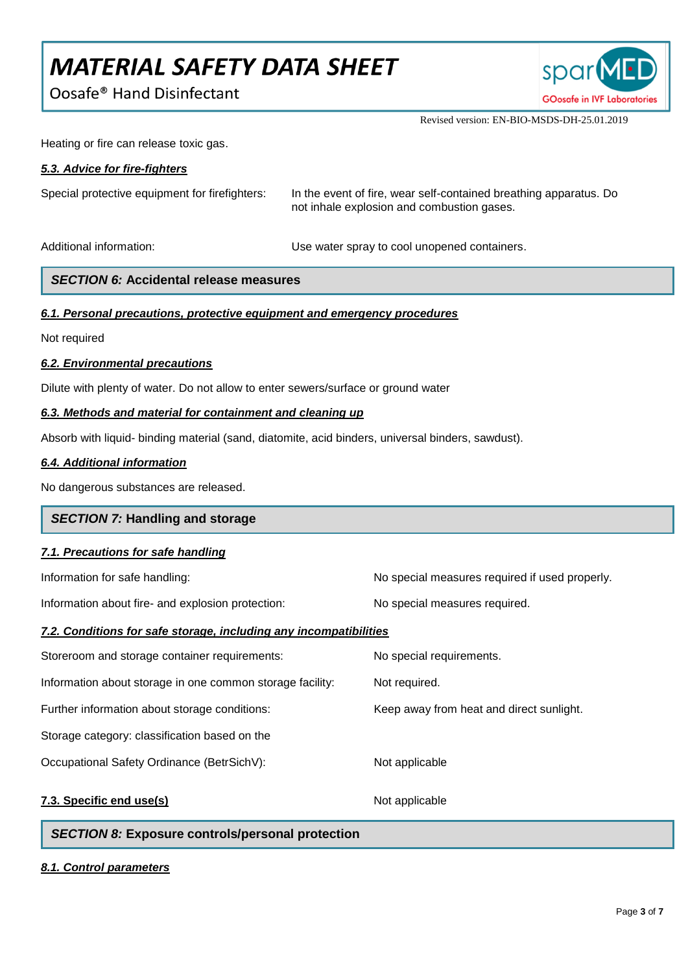Oosafe<sup>®</sup> Hand Disinfectant



Revised version: EN-BIO-MSDS-DH-25.01.2019

Heating or fire can release toxic gas.

## *5.3. Advice for fire-fighters*

Special protective equipment for firefighters: In the event of fire, wear self-contained breathing apparatus. Do not inhale explosion and combustion gases.

Additional information: example and Use water spray to cool unopened containers.

## *SECTION 6:* **Accidental release measures**

## *6.1. Personal precautions, protective equipment and emergency procedures*

Not required

## *6.2. Environmental precautions*

Dilute with plenty of water. Do not allow to enter sewers/surface or ground water

## *6.3. Methods and material for containment and cleaning up*

Absorb with liquid- binding material (sand, diatomite, acid binders, universal binders, sawdust).

## *6.4. Additional information*

No dangerous substances are released.

## *SECTION 7:* **Handling and storage**

## *7.1. Precautions for safe handling*

Information about fire- and explosion protection: No special measures required.

Information for safe handling: No special measures required if used properly.

## *7.2. Conditions for safe storage, including any incompatibilities*

| Storeroom and storage container requirements:             | No special requirements.                 |
|-----------------------------------------------------------|------------------------------------------|
| Information about storage in one common storage facility: | Not required.                            |
| Further information about storage conditions:             | Keep away from heat and direct sunlight. |
| Storage category: classification based on the             |                                          |
| Occupational Safety Ordinance (BetrSichV):                | Not applicable                           |
| 7.3. Specific end use(s)                                  | Not applicable                           |

## *SECTION 8:* **Exposure controls/personal protection**

## *8.1. Control parameters*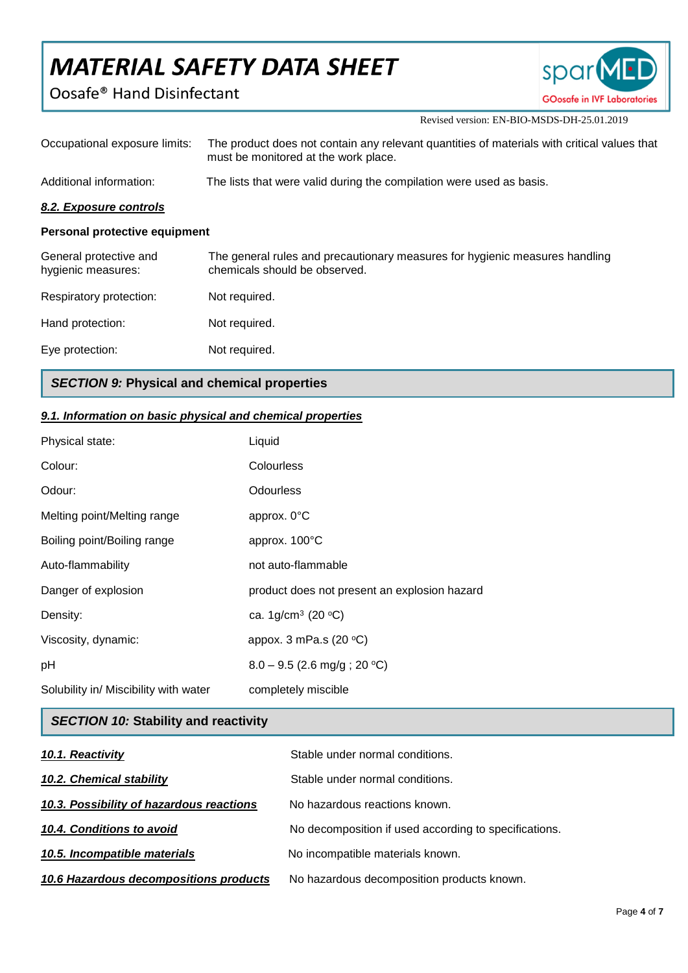Oosafe<sup>®</sup> Hand Disinfectant



Revised version: EN-BIO-MSDS-DH-25.01.2019

| Occupational exposure limits:                | The product does not contain any relevant quantities of materials with critical values that<br>must be monitored at the work place. |
|----------------------------------------------|-------------------------------------------------------------------------------------------------------------------------------------|
| Additional information:                      | The lists that were valid during the compilation were used as basis.                                                                |
| 8.2. Exposure controls                       |                                                                                                                                     |
| Personal protective equipment                |                                                                                                                                     |
| General protective and<br>hygienic measures: | The general rules and precautionary measures for hygienic measures handling<br>chemicals should be observed.                        |
| Respiratory protection:                      | Not required.                                                                                                                       |
| Hand protection:                             | Not required.                                                                                                                       |
| Eye protection:                              | Not required.                                                                                                                       |

## *SECTION 9:* **Physical and chemical properties**

## *9.1. Information on basic physical and chemical properties*

| Physical state:                       | Liquid                                       |
|---------------------------------------|----------------------------------------------|
| Colour:                               | Colourless                                   |
| Odour:                                | <b>Odourless</b>                             |
| Melting point/Melting range           | approx. 0°C                                  |
| Boiling point/Boiling range           | approx. 100°C                                |
| Auto-flammability                     | not auto-flammable                           |
| Danger of explosion                   | product does not present an explosion hazard |
| Density:                              | ca. 1g/cm <sup>3</sup> (20 $^{\circ}$ C)     |
| Viscosity, dynamic:                   | appox. 3 mPa.s $(20 °C)$                     |
| pH                                    | $8.0 - 9.5$ (2.6 mg/g; 20 °C)                |
| Solubility in/ Miscibility with water | completely miscible                          |

## *SECTION 10:* **Stability and reactivity**

| 10.1. Reactivity                         | Stable under normal conditions.                       |
|------------------------------------------|-------------------------------------------------------|
| 10.2. Chemical stability                 | Stable under normal conditions.                       |
| 10.3. Possibility of hazardous reactions | No hazardous reactions known.                         |
| 10.4. Conditions to avoid                | No decomposition if used according to specifications. |
| 10.5. Incompatible materials             | No incompatible materials known.                      |
| 10.6 Hazardous decompositions products   | No hazardous decomposition products known.            |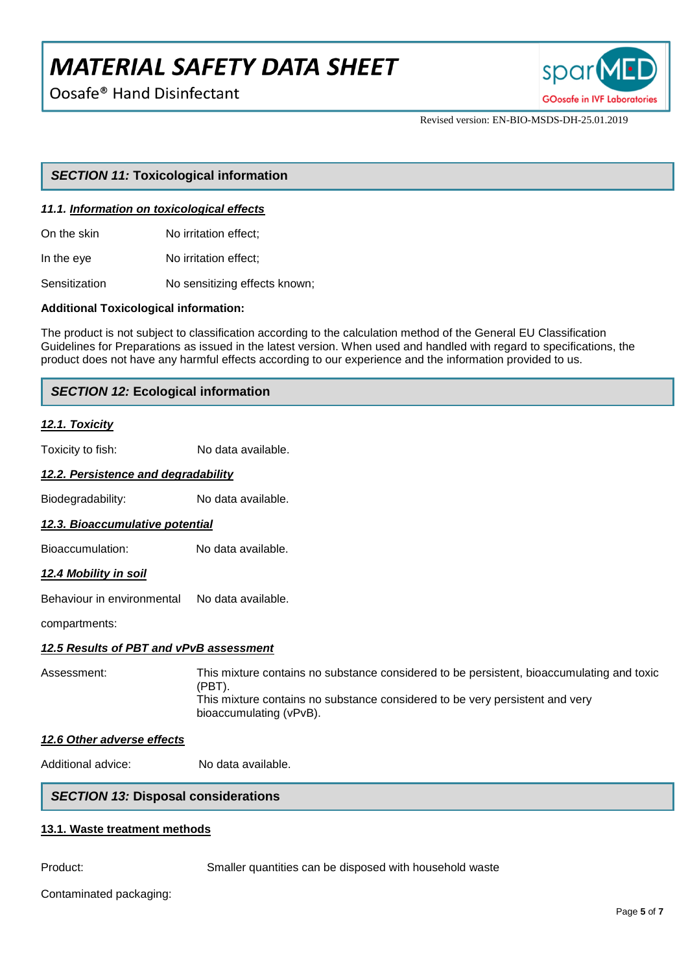Oosafe<sup>®</sup> Hand Disinfectant



Revised version: EN-BIO-MSDS-DH-25.01.2019

## *SECTION 11:* **Toxicological information**

#### *11.1. Information on toxicological effects*

On the skin No irritation effect:

In the eye No irritation effect;

Sensitization **No sensitizing effects known**;

#### **Additional Toxicological information:**

The product is not subject to classification according to the calculation method of the General EU Classification Guidelines for Preparations as issued in the latest version. When used and handled with regard to specifications, the product does not have any harmful effects according to our experience and the information provided to us.

## *SECTION 12:* **Ecological information**

#### *12.1. Toxicity*

Toxicity to fish: No data available.

## *12.2. Persistence and degradability*

Biodegradability: No data available.

#### *12.3. Bioaccumulative potential*

Bioaccumulation: No data available.

#### *12.4 Mobility in soil*

Behaviour in environmental No data available.

compartments:

#### *12.5 Results of PBT and vPvB assessment*

Assessment: This mixture contains no substance considered to be persistent, bioaccumulating and toxic (PBT). This mixture contains no substance considered to be very persistent and very bioaccumulating (vPvB).

#### *12.6 Other adverse effects*

Additional advice: No data available.

## *SECTION 13:* **Disposal considerations**

#### **13.1. Waste treatment methods**

Product: Smaller quantities can be disposed with household waste

Contaminated packaging: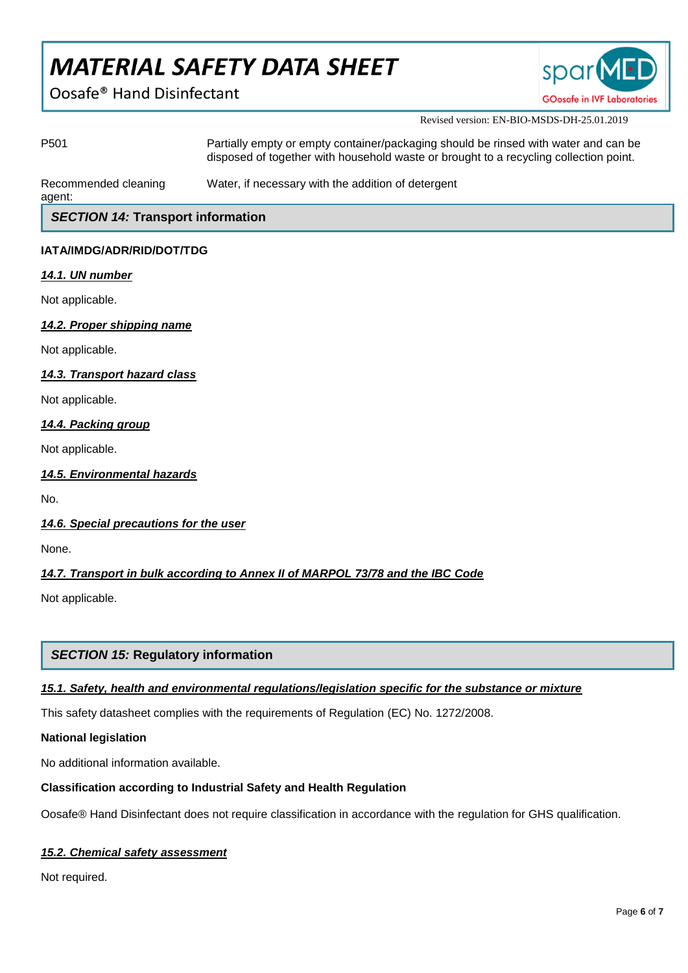Oosafe<sup>®</sup> Hand Disinfectant



Revised version: EN-BIO-MSDS-DH-25.01.2019

| P <sub>501</sub>                         | Partially empty or empty container/packaging should be rinsed with water and can be<br>disposed of together with household waste or brought to a recycling collection point. |  |
|------------------------------------------|------------------------------------------------------------------------------------------------------------------------------------------------------------------------------|--|
| Recommended cleaning<br>agent:           | Water, if necessary with the addition of detergent                                                                                                                           |  |
| <b>SECTION 14: Transport information</b> |                                                                                                                                                                              |  |
| IATA/IMDG/ADR/RID/DOT/TDG                |                                                                                                                                                                              |  |
| 14.1. UN number                          |                                                                                                                                                                              |  |
| Not applicable.                          |                                                                                                                                                                              |  |
| 14.2. Proper shipping name               |                                                                                                                                                                              |  |
| Not applicable.                          |                                                                                                                                                                              |  |
| 14.3. Transport hazard class             |                                                                                                                                                                              |  |
| Not applicable.                          |                                                                                                                                                                              |  |
| 14.4. Packing group                      |                                                                                                                                                                              |  |
| Not applicable.                          |                                                                                                                                                                              |  |

## *14.5. Environmental hazards*

No.

## *14.6. Special precautions for the user*

None.

## *14.7. Transport in bulk according to Annex II of MARPOL 73/78 and the IBC Code*

Not applicable.

## *SECTION 15:* **Regulatory information**

## *15.1. Safety, health and environmental regulations/legislation specific for the substance or mixture*

This safety datasheet complies with the requirements of Regulation (EC) No. 1272/2008.

## **National legislation**

No additional information available.

## **Classification according to Industrial Safety and Health Regulation**

Oosafe® Hand Disinfectant does not require classification in accordance with the regulation for GHS qualification.

## *15.2. Chemical safety assessment*

Not required.